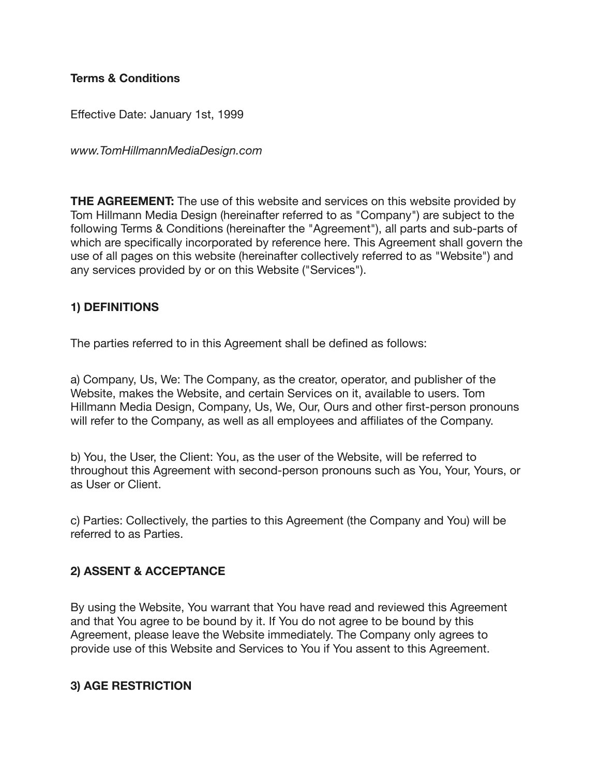#### **Terms & Conditions**

Effective Date: January 1st, 1999

*www.TomHillmannMediaDesign.com*

**THE AGREEMENT:** The use of this website and services on this website provided by Tom Hillmann Media Design (hereinafter referred to as "Company") are subject to the following Terms & Conditions (hereinafter the "Agreement"), all parts and sub-parts of which are specifically incorporated by reference here. This Agreement shall govern the use of all pages on this website (hereinafter collectively referred to as "Website") and any services provided by or on this Website ("Services").

### **1) DEFINITIONS**

The parties referred to in this Agreement shall be defined as follows:

a) Company, Us, We: The Company, as the creator, operator, and publisher of the Website, makes the Website, and certain Services on it, available to users. Tom Hillmann Media Design, Company, Us, We, Our, Ours and other first-person pronouns will refer to the Company, as well as all employees and affiliates of the Company.

b) You, the User, the Client: You, as the user of the Website, will be referred to throughout this Agreement with second-person pronouns such as You, Your, Yours, or as User or Client.

c) Parties: Collectively, the parties to this Agreement (the Company and You) will be referred to as Parties.

### **2) ASSENT & ACCEPTANCE**

By using the Website, You warrant that You have read and reviewed this Agreement and that You agree to be bound by it. If You do not agree to be bound by this Agreement, please leave the Website immediately. The Company only agrees to provide use of this Website and Services to You if You assent to this Agreement.

#### **3) AGE RESTRICTION**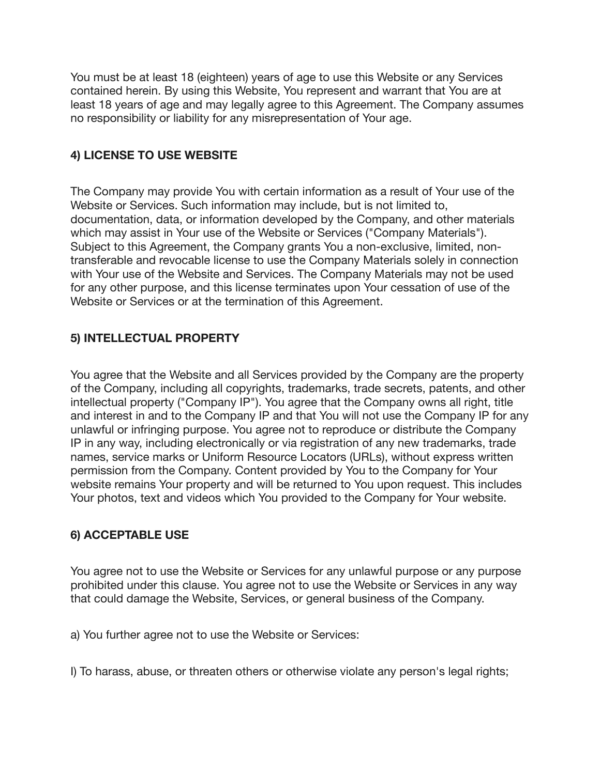You must be at least 18 (eighteen) years of age to use this Website or any Services contained herein. By using this Website, You represent and warrant that You are at least 18 years of age and may legally agree to this Agreement. The Company assumes no responsibility or liability for any misrepresentation of Your age.

## **4) LICENSE TO USE WEBSITE**

The Company may provide You with certain information as a result of Your use of the Website or Services. Such information may include, but is not limited to, documentation, data, or information developed by the Company, and other materials which may assist in Your use of the Website or Services ("Company Materials"). Subject to this Agreement, the Company grants You a non-exclusive, limited, nontransferable and revocable license to use the Company Materials solely in connection with Your use of the Website and Services. The Company Materials may not be used for any other purpose, and this license terminates upon Your cessation of use of the Website or Services or at the termination of this Agreement.

## **5) INTELLECTUAL PROPERTY**

You agree that the Website and all Services provided by the Company are the property of the Company, including all copyrights, trademarks, trade secrets, patents, and other intellectual property ("Company IP"). You agree that the Company owns all right, title and interest in and to the Company IP and that You will not use the Company IP for any unlawful or infringing purpose. You agree not to reproduce or distribute the Company IP in any way, including electronically or via registration of any new trademarks, trade names, service marks or Uniform Resource Locators (URLs), without express written permission from the Company. Content provided by You to the Company for Your website remains Your property and will be returned to You upon request. This includes Your photos, text and videos which You provided to the Company for Your website.

### **6) ACCEPTABLE USE**

You agree not to use the Website or Services for any unlawful purpose or any purpose prohibited under this clause. You agree not to use the Website or Services in any way that could damage the Website, Services, or general business of the Company.

a) You further agree not to use the Website or Services:

I) To harass, abuse, or threaten others or otherwise violate any person's legal rights;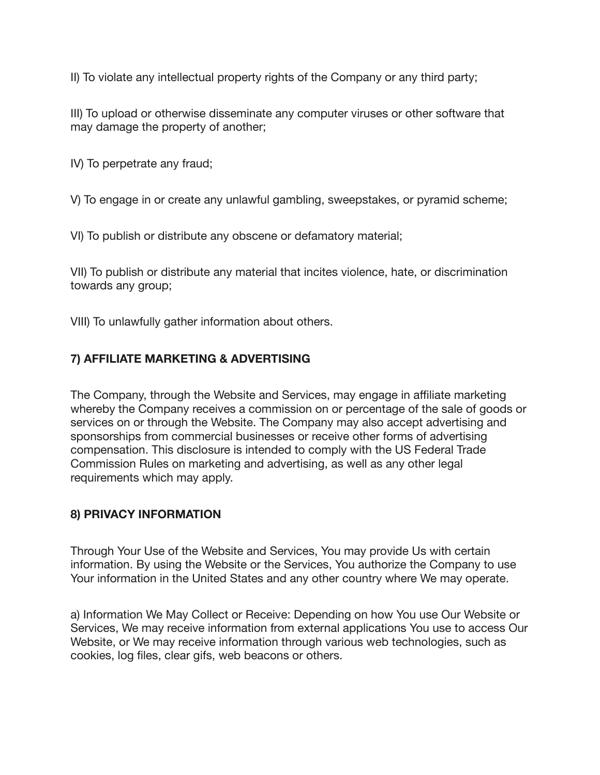II) To violate any intellectual property rights of the Company or any third party;

III) To upload or otherwise disseminate any computer viruses or other software that may damage the property of another;

IV) To perpetrate any fraud;

V) To engage in or create any unlawful gambling, sweepstakes, or pyramid scheme;

VI) To publish or distribute any obscene or defamatory material;

VII) To publish or distribute any material that incites violence, hate, or discrimination towards any group;

VIII) To unlawfully gather information about others.

# **7) AFFILIATE MARKETING & ADVERTISING**

The Company, through the Website and Services, may engage in affiliate marketing whereby the Company receives a commission on or percentage of the sale of goods or services on or through the Website. The Company may also accept advertising and sponsorships from commercial businesses or receive other forms of advertising compensation. This disclosure is intended to comply with the US Federal Trade Commission Rules on marketing and advertising, as well as any other legal requirements which may apply.

### **8) PRIVACY INFORMATION**

Through Your Use of the Website and Services, You may provide Us with certain information. By using the Website or the Services, You authorize the Company to use Your information in the United States and any other country where We may operate.

a) Information We May Collect or Receive: Depending on how You use Our Website or Services, We may receive information from external applications You use to access Our Website, or We may receive information through various web technologies, such as cookies, log files, clear gifs, web beacons or others.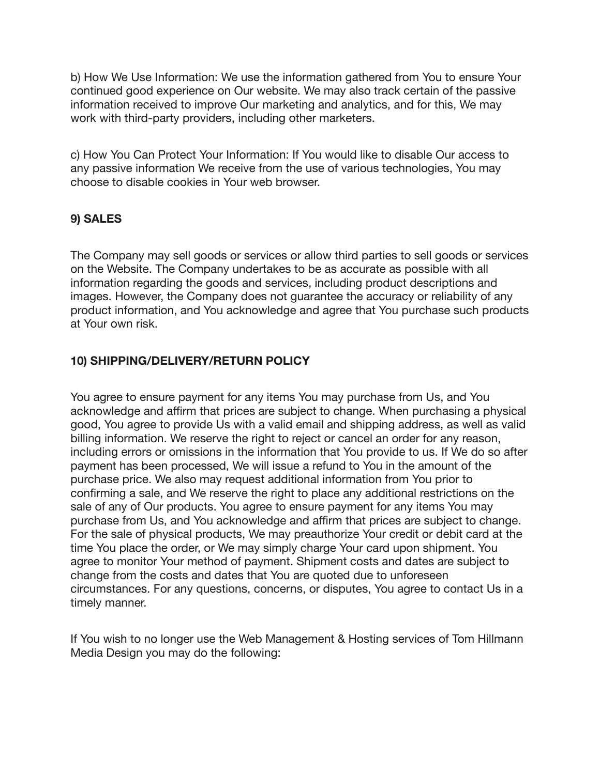b) How We Use Information: We use the information gathered from You to ensure Your continued good experience on Our website. We may also track certain of the passive information received to improve Our marketing and analytics, and for this, We may work with third-party providers, including other marketers.

c) How You Can Protect Your Information: If You would like to disable Our access to any passive information We receive from the use of various technologies, You may choose to disable cookies in Your web browser.

# **9) SALES**

The Company may sell goods or services or allow third parties to sell goods or services on the Website. The Company undertakes to be as accurate as possible with all information regarding the goods and services, including product descriptions and images. However, the Company does not guarantee the accuracy or reliability of any product information, and You acknowledge and agree that You purchase such products at Your own risk.

### **10) SHIPPING/DELIVERY/RETURN POLICY**

You agree to ensure payment for any items You may purchase from Us, and You acknowledge and affirm that prices are subject to change. When purchasing a physical good, You agree to provide Us with a valid email and shipping address, as well as valid billing information. We reserve the right to reject or cancel an order for any reason, including errors or omissions in the information that You provide to us. If We do so after payment has been processed, We will issue a refund to You in the amount of the purchase price. We also may request additional information from You prior to confirming a sale, and We reserve the right to place any additional restrictions on the sale of any of Our products. You agree to ensure payment for any items You may purchase from Us, and You acknowledge and affirm that prices are subject to change. For the sale of physical products, We may preauthorize Your credit or debit card at the time You place the order, or We may simply charge Your card upon shipment. You agree to monitor Your method of payment. Shipment costs and dates are subject to change from the costs and dates that You are quoted due to unforeseen circumstances. For any questions, concerns, or disputes, You agree to contact Us in a timely manner.

If You wish to no longer use the Web Management & Hosting services of Tom Hillmann Media Design you may do the following: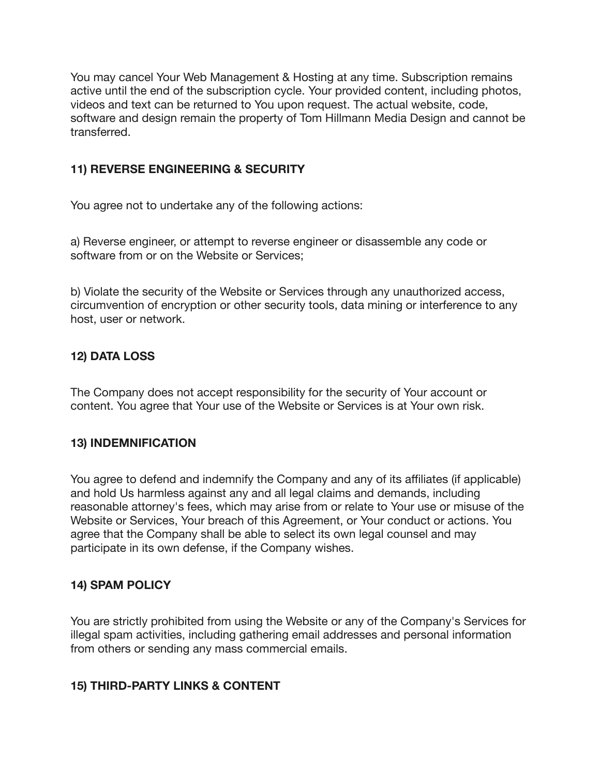You may cancel Your Web Management & Hosting at any time. Subscription remains active until the end of the subscription cycle. Your provided content, including photos, videos and text can be returned to You upon request. The actual website, code, software and design remain the property of Tom Hillmann Media Design and cannot be transferred.

### **11) REVERSE ENGINEERING & SECURITY**

You agree not to undertake any of the following actions:

a) Reverse engineer, or attempt to reverse engineer or disassemble any code or software from or on the Website or Services;

b) Violate the security of the Website or Services through any unauthorized access, circumvention of encryption or other security tools, data mining or interference to any host, user or network.

#### **12) DATA LOSS**

The Company does not accept responsibility for the security of Your account or content. You agree that Your use of the Website or Services is at Your own risk.

#### **13) INDEMNIFICATION**

You agree to defend and indemnify the Company and any of its affiliates (if applicable) and hold Us harmless against any and all legal claims and demands, including reasonable attorney's fees, which may arise from or relate to Your use or misuse of the Website or Services, Your breach of this Agreement, or Your conduct or actions. You agree that the Company shall be able to select its own legal counsel and may participate in its own defense, if the Company wishes.

#### **14) SPAM POLICY**

You are strictly prohibited from using the Website or any of the Company's Services for illegal spam activities, including gathering email addresses and personal information from others or sending any mass commercial emails.

#### **15) THIRD-PARTY LINKS & CONTENT**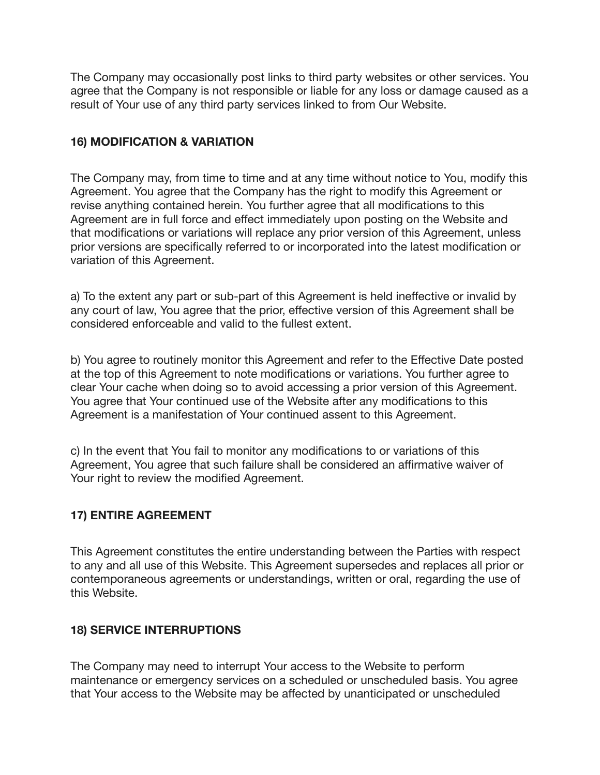The Company may occasionally post links to third party websites or other services. You agree that the Company is not responsible or liable for any loss or damage caused as a result of Your use of any third party services linked to from Our Website.

### **16) MODIFICATION & VARIATION**

The Company may, from time to time and at any time without notice to You, modify this Agreement. You agree that the Company has the right to modify this Agreement or revise anything contained herein. You further agree that all modifications to this Agreement are in full force and effect immediately upon posting on the Website and that modifications or variations will replace any prior version of this Agreement, unless prior versions are specifically referred to or incorporated into the latest modification or variation of this Agreement.

a) To the extent any part or sub-part of this Agreement is held ineffective or invalid by any court of law, You agree that the prior, effective version of this Agreement shall be considered enforceable and valid to the fullest extent.

b) You agree to routinely monitor this Agreement and refer to the Effective Date posted at the top of this Agreement to note modifications or variations. You further agree to clear Your cache when doing so to avoid accessing a prior version of this Agreement. You agree that Your continued use of the Website after any modifications to this Agreement is a manifestation of Your continued assent to this Agreement.

c) In the event that You fail to monitor any modifications to or variations of this Agreement, You agree that such failure shall be considered an affirmative waiver of Your right to review the modified Agreement.

# **17) ENTIRE AGREEMENT**

This Agreement constitutes the entire understanding between the Parties with respect to any and all use of this Website. This Agreement supersedes and replaces all prior or contemporaneous agreements or understandings, written or oral, regarding the use of this Website.

### **18) SERVICE INTERRUPTIONS**

The Company may need to interrupt Your access to the Website to perform maintenance or emergency services on a scheduled or unscheduled basis. You agree that Your access to the Website may be affected by unanticipated or unscheduled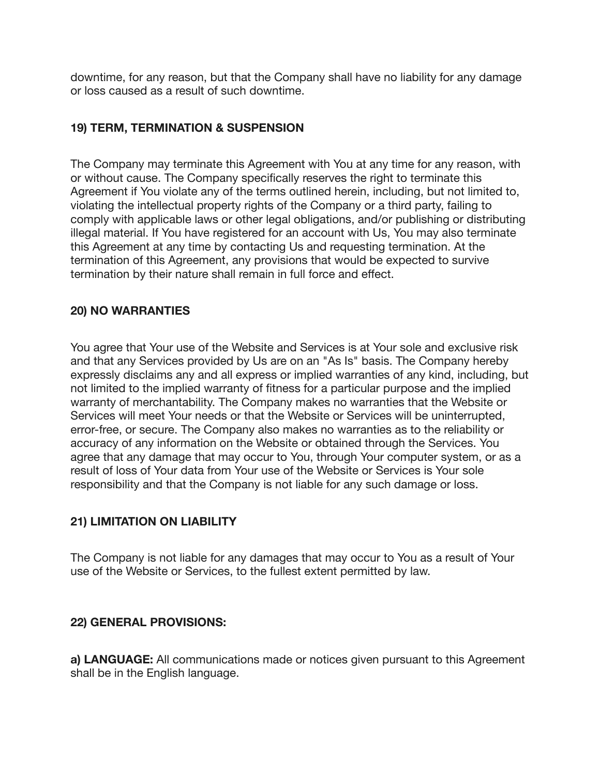downtime, for any reason, but that the Company shall have no liability for any damage or loss caused as a result of such downtime.

### **19) TERM, TERMINATION & SUSPENSION**

The Company may terminate this Agreement with You at any time for any reason, with or without cause. The Company specifically reserves the right to terminate this Agreement if You violate any of the terms outlined herein, including, but not limited to, violating the intellectual property rights of the Company or a third party, failing to comply with applicable laws or other legal obligations, and/or publishing or distributing illegal material. If You have registered for an account with Us, You may also terminate this Agreement at any time by contacting Us and requesting termination. At the termination of this Agreement, any provisions that would be expected to survive termination by their nature shall remain in full force and effect.

#### **20) NO WARRANTIES**

You agree that Your use of the Website and Services is at Your sole and exclusive risk and that any Services provided by Us are on an "As Is" basis. The Company hereby expressly disclaims any and all express or implied warranties of any kind, including, but not limited to the implied warranty of fitness for a particular purpose and the implied warranty of merchantability. The Company makes no warranties that the Website or Services will meet Your needs or that the Website or Services will be uninterrupted, error-free, or secure. The Company also makes no warranties as to the reliability or accuracy of any information on the Website or obtained through the Services. You agree that any damage that may occur to You, through Your computer system, or as a result of loss of Your data from Your use of the Website or Services is Your sole responsibility and that the Company is not liable for any such damage or loss.

#### **21) LIMITATION ON LIABILITY**

The Company is not liable for any damages that may occur to You as a result of Your use of the Website or Services, to the fullest extent permitted by law.

#### **22) GENERAL PROVISIONS:**

**a) LANGUAGE:** All communications made or notices given pursuant to this Agreement shall be in the English language.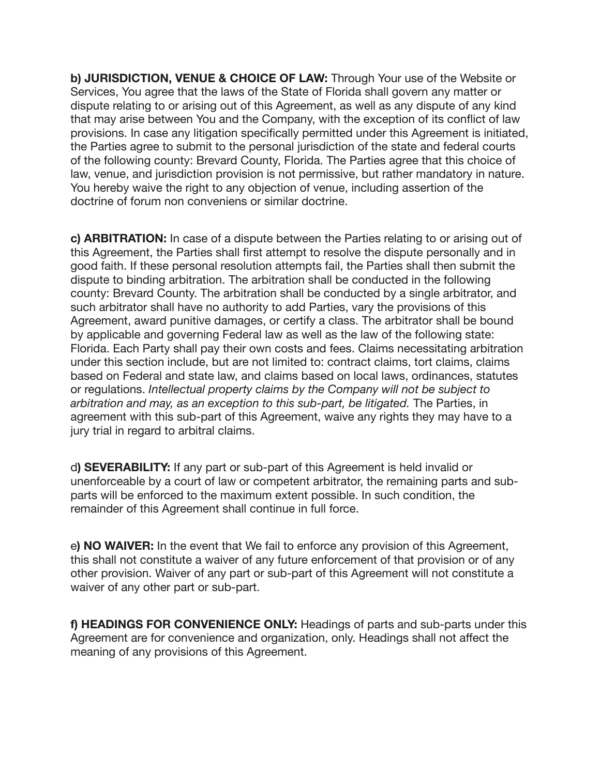**b) JURISDICTION, VENUE & CHOICE OF LAW:** Through Your use of the Website or Services, You agree that the laws of the State of Florida shall govern any matter or dispute relating to or arising out of this Agreement, as well as any dispute of any kind that may arise between You and the Company, with the exception of its conflict of law provisions. In case any litigation specifically permitted under this Agreement is initiated, the Parties agree to submit to the personal jurisdiction of the state and federal courts of the following county: Brevard County, Florida. The Parties agree that this choice of law, venue, and jurisdiction provision is not permissive, but rather mandatory in nature. You hereby waive the right to any objection of venue, including assertion of the doctrine of forum non conveniens or similar doctrine.

**c) ARBITRATION:** In case of a dispute between the Parties relating to or arising out of this Agreement, the Parties shall first attempt to resolve the dispute personally and in good faith. If these personal resolution attempts fail, the Parties shall then submit the dispute to binding arbitration. The arbitration shall be conducted in the following county: Brevard County. The arbitration shall be conducted by a single arbitrator, and such arbitrator shall have no authority to add Parties, vary the provisions of this Agreement, award punitive damages, or certify a class. The arbitrator shall be bound by applicable and governing Federal law as well as the law of the following state: Florida. Each Party shall pay their own costs and fees. Claims necessitating arbitration under this section include, but are not limited to: contract claims, tort claims, claims based on Federal and state law, and claims based on local laws, ordinances, statutes or regulations. *Intellectual property claims by the Company will not be subject to arbitration and may, as an exception to this sub-part, be litigated.* The Parties, in agreement with this sub-part of this Agreement, waive any rights they may have to a jury trial in regard to arbitral claims.

d**) SEVERABILITY:** If any part or sub-part of this Agreement is held invalid or unenforceable by a court of law or competent arbitrator, the remaining parts and subparts will be enforced to the maximum extent possible. In such condition, the remainder of this Agreement shall continue in full force.

e**) NO WAIVER:** In the event that We fail to enforce any provision of this Agreement, this shall not constitute a waiver of any future enforcement of that provision or of any other provision. Waiver of any part or sub-part of this Agreement will not constitute a waiver of any other part or sub-part.

**f) HEADINGS FOR CONVENIENCE ONLY:** Headings of parts and sub-parts under this Agreement are for convenience and organization, only. Headings shall not affect the meaning of any provisions of this Agreement.